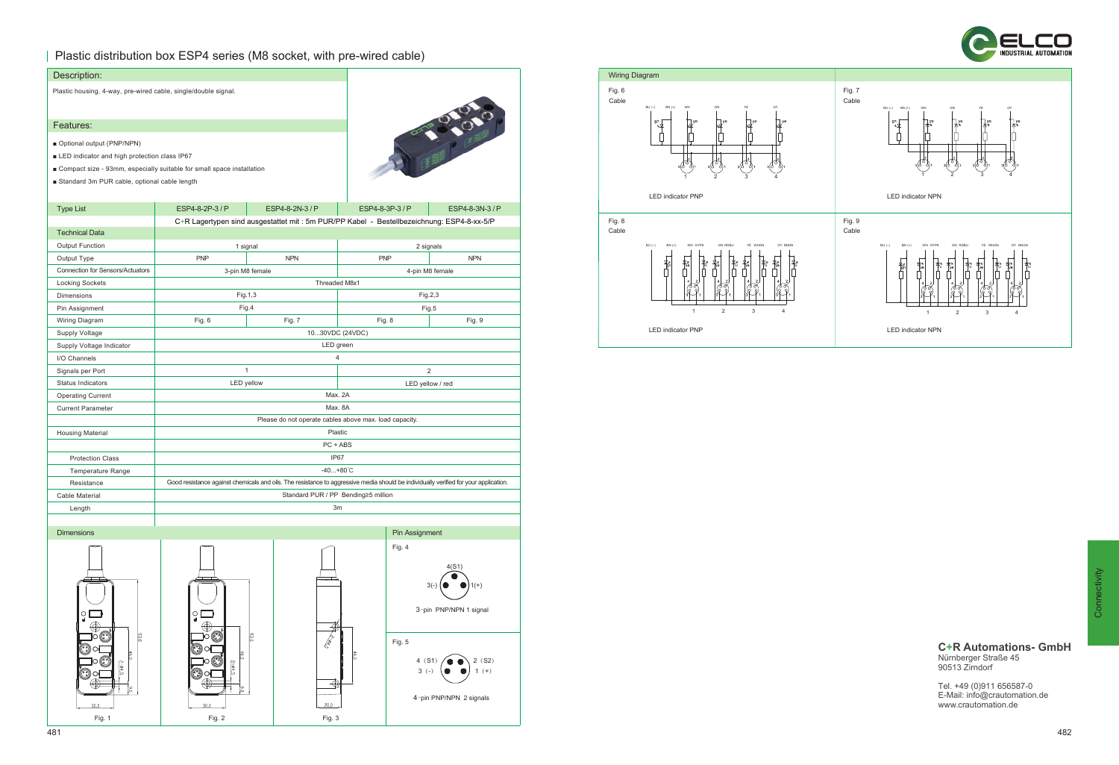## Plastic distribution box ESP4 series (M8 socket, with pre-wired cable)



| Description:                                                   |                                                                                                                                      |                                                        |                 |                  |                         |
|----------------------------------------------------------------|--------------------------------------------------------------------------------------------------------------------------------------|--------------------------------------------------------|-----------------|------------------|-------------------------|
| Plastic housing, 4-way, pre-wired cable, single/double signal. |                                                                                                                                      |                                                        |                 |                  |                         |
|                                                                |                                                                                                                                      |                                                        |                 |                  |                         |
| Features:                                                      |                                                                                                                                      |                                                        |                 |                  | <b>POLICE</b>           |
| Optional output (PNP/NPN)                                      |                                                                                                                                      |                                                        |                 |                  |                         |
| LED indicator and high protection class IP67                   |                                                                                                                                      |                                                        |                 |                  |                         |
|                                                                | ■ Compact size - 93mm, especially suitable for small space installation                                                              |                                                        |                 |                  |                         |
| Standard 3m PUR cable, optional cable length                   |                                                                                                                                      |                                                        |                 |                  |                         |
|                                                                |                                                                                                                                      |                                                        |                 |                  |                         |
| <b>Type List</b>                                               | ESP4-8-2P-3/P                                                                                                                        | ESP4-8-2N-3 / P                                        | ESP4-8-3P-3 / P |                  | ESP4-8-3N-3 / P         |
|                                                                | C+R Lagertypen sind ausgestattet mit : 5m PUR/PP Kabel - Bestellbezeichnung: ESP4-8-xx-5/P                                           |                                                        |                 |                  |                         |
| <b>Technical Data</b>                                          |                                                                                                                                      |                                                        |                 |                  |                         |
| <b>Output Function</b>                                         | 1 signal                                                                                                                             |                                                        |                 | 2 signals        |                         |
| Output Type                                                    | <b>PNP</b>                                                                                                                           | <b>NPN</b>                                             | <b>PNP</b>      |                  | <b>NPN</b>              |
| <b>Connection for Sensors/Actuators</b>                        | 3-pin M8 female                                                                                                                      |                                                        |                 | 4-pin M8 female  |                         |
| Locking Sockets                                                |                                                                                                                                      | Threaded M8x1                                          |                 |                  |                         |
| <b>Dimensions</b>                                              | Fig. 1, 3                                                                                                                            |                                                        |                 | Fig.2,3          |                         |
| Pin Assignment                                                 | Fig.4                                                                                                                                |                                                        |                 | Fig.5            |                         |
| Wiring Diagram                                                 | Fig. 6                                                                                                                               | Fig. 7                                                 | Fig. 8          |                  | Fig. 9                  |
| Supply Voltage                                                 | 1030VDC (24VDC)                                                                                                                      |                                                        |                 |                  |                         |
| Supply Voltage Indicator                                       | LED green                                                                                                                            |                                                        |                 |                  |                         |
| I/O Channels                                                   |                                                                                                                                      | 4                                                      |                 |                  |                         |
| Signals per Port                                               | $\mathbf{1}$                                                                                                                         |                                                        | 2               |                  |                         |
| <b>Status Indicators</b>                                       | <b>LED</b> yellow                                                                                                                    |                                                        |                 | LED yellow / red |                         |
| <b>Operating Current</b>                                       | Max. 2A                                                                                                                              |                                                        |                 |                  |                         |
| <b>Current Parameter</b>                                       | Max. 8A                                                                                                                              |                                                        |                 |                  |                         |
|                                                                |                                                                                                                                      | Please do not operate cables above max. load capacity. |                 |                  |                         |
| <b>Housing Material</b>                                        |                                                                                                                                      | Plastic                                                |                 |                  |                         |
|                                                                | PC + ABS                                                                                                                             |                                                        |                 |                  |                         |
| <b>Protection Class</b>                                        | IP67                                                                                                                                 |                                                        |                 |                  |                         |
| <b>Temperature Range</b>                                       | $-40+80^{\circ}C$                                                                                                                    |                                                        |                 |                  |                         |
| Resistance                                                     | Good resistance against chemicals and oils. The resistance to aggressive media should be individually verified for your application. |                                                        |                 |                  |                         |
| Cable Material                                                 | Standard PUR / PP Bending≥5 million                                                                                                  |                                                        |                 |                  |                         |
| Length                                                         |                                                                                                                                      | 3m                                                     |                 |                  |                         |
| <b>Dimensions</b>                                              |                                                                                                                                      |                                                        |                 |                  |                         |
|                                                                |                                                                                                                                      |                                                        |                 | Pin Assignment   |                         |
|                                                                |                                                                                                                                      |                                                        |                 | Fig. 4           |                         |
|                                                                |                                                                                                                                      |                                                        |                 |                  | 4(S1)                   |
|                                                                |                                                                                                                                      |                                                        |                 |                  |                         |
|                                                                |                                                                                                                                      |                                                        |                 |                  | $3(-)$<br>$1(+)$        |
|                                                                |                                                                                                                                      |                                                        |                 |                  |                         |
| ួ                                                              | O                                                                                                                                    |                                                        |                 |                  | 3-pin PNP/NPN 1 signal  |
|                                                                |                                                                                                                                      |                                                        |                 |                  |                         |
| $\frac{93.0}{2}$                                               | 93,0                                                                                                                                 | <b>CARD</b>                                            |                 | Fig. 5           |                         |
| 46.0                                                           | $\frac{46.0}{2}$                                                                                                                     |                                                        | 46,0            | 4(51)            | 2(52)                   |
| $2 - 94.5$                                                     | $2 - 64.5$                                                                                                                           |                                                        |                 | $3(-)$           | $1 (+)$                 |
|                                                                | O                                                                                                                                    | $\oplus$                                               |                 |                  |                         |
| ै।<br>वि                                                       | ٩é                                                                                                                                   |                                                        |                 |                  | 4-pin PNP/NPN 2 signals |
| 30,0                                                           | 30,0                                                                                                                                 | 20,0                                                   |                 |                  |                         |
| Fig. 1                                                         | Fig. 2                                                                                                                               | Fig. 3                                                 |                 |                  |                         |





### **C+R Automations- GmbH** Nürnberger Straße 45 90513 Zirndorf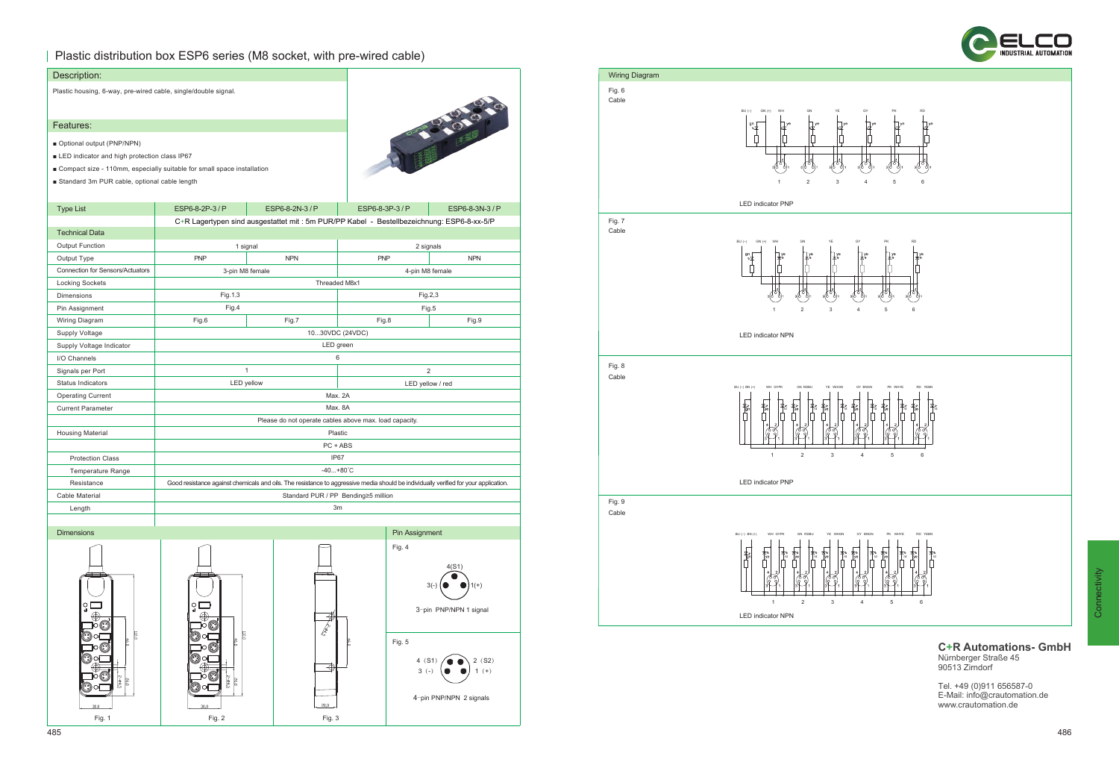## Plastic distribution box ESP6 series (M8 socket, with pre-wired cable)



| Description:                                                             |                                                                                                                                      |                                                                                            |                                     |                         |  |  |
|--------------------------------------------------------------------------|--------------------------------------------------------------------------------------------------------------------------------------|--------------------------------------------------------------------------------------------|-------------------------------------|-------------------------|--|--|
| Plastic housing, 6-way, pre-wired cable, single/double signal.           |                                                                                                                                      |                                                                                            |                                     |                         |  |  |
|                                                                          |                                                                                                                                      |                                                                                            |                                     |                         |  |  |
| Features:                                                                |                                                                                                                                      |                                                                                            |                                     | <b>PASSAGE</b>          |  |  |
| Optional output (PNP/NPN)                                                |                                                                                                                                      |                                                                                            |                                     |                         |  |  |
| LED indicator and high protection class IP67                             |                                                                                                                                      |                                                                                            |                                     |                         |  |  |
| ■ Compact size - 110mm, especially suitable for small space installation |                                                                                                                                      |                                                                                            |                                     |                         |  |  |
| Standard 3m PUR cable, optional cable length                             |                                                                                                                                      |                                                                                            |                                     |                         |  |  |
|                                                                          |                                                                                                                                      |                                                                                            |                                     |                         |  |  |
| <b>Type List</b>                                                         | ESP6-8-2P-3/P                                                                                                                        | ESP6-8-2N-3/P                                                                              | ESP6-8-3P-3 / P                     | ESP6-8-3N-3 / P         |  |  |
|                                                                          |                                                                                                                                      | C+R Lagertypen sind ausgestattet mit : 5m PUR/PP Kabel - Bestellbezeichnung: ESP6-8-xx-5/P |                                     |                         |  |  |
| <b>Technical Data</b>                                                    |                                                                                                                                      |                                                                                            |                                     |                         |  |  |
| <b>Output Function</b>                                                   | 1 signal                                                                                                                             |                                                                                            |                                     | 2 signals               |  |  |
| Output Type                                                              | <b>PNP</b>                                                                                                                           | <b>NPN</b>                                                                                 | <b>PNP</b>                          | <b>NPN</b>              |  |  |
| Connection for Sensors/Actuators                                         | 3-pin M8 female                                                                                                                      |                                                                                            |                                     | 4-pin M8 female         |  |  |
| Locking Sockets                                                          |                                                                                                                                      | Threaded M8x1                                                                              |                                     |                         |  |  |
| Dimensions                                                               | Fig.1,3                                                                                                                              |                                                                                            |                                     | Fig.2,3                 |  |  |
| Pin Assignment                                                           | Fig.4                                                                                                                                |                                                                                            |                                     | Fig.5                   |  |  |
| Wiring Diagram                                                           | Fig.6                                                                                                                                | Fig.7                                                                                      | Fig.8                               | Fig.9                   |  |  |
| Supply Voltage                                                           |                                                                                                                                      | 1030VDC (24VDC)                                                                            |                                     |                         |  |  |
| Supply Voltage Indicator                                                 | LED green                                                                                                                            |                                                                                            |                                     |                         |  |  |
| I/O Channels                                                             |                                                                                                                                      |                                                                                            | 6                                   |                         |  |  |
| Signals per Port                                                         |                                                                                                                                      | $\mathbf{1}$                                                                               | $\overline{2}$                      |                         |  |  |
| <b>Status Indicators</b>                                                 | LED yellow                                                                                                                           |                                                                                            |                                     | LED yellow / red        |  |  |
| <b>Operating Current</b>                                                 | Max. 2A                                                                                                                              |                                                                                            |                                     |                         |  |  |
| <b>Current Parameter</b>                                                 |                                                                                                                                      |                                                                                            | Max. 8A                             |                         |  |  |
|                                                                          | Please do not operate cables above max. load capacity.                                                                               |                                                                                            |                                     |                         |  |  |
| <b>Housing Material</b>                                                  | Plastic                                                                                                                              |                                                                                            |                                     |                         |  |  |
|                                                                          | PC + ABS                                                                                                                             |                                                                                            |                                     |                         |  |  |
| <b>Protection Class</b>                                                  |                                                                                                                                      | IP67                                                                                       |                                     |                         |  |  |
| <b>Temperature Range</b>                                                 |                                                                                                                                      | $-40+80^{\circ}C$                                                                          |                                     |                         |  |  |
| Resistance                                                               | Good resistance against chemicals and oils. The resistance to aggressive media should be individually verified for your application. |                                                                                            |                                     |                         |  |  |
| Cable Material                                                           |                                                                                                                                      |                                                                                            | Standard PUR / PP Bending≥5 million |                         |  |  |
| Length                                                                   | 3m                                                                                                                                   |                                                                                            |                                     |                         |  |  |
|                                                                          |                                                                                                                                      |                                                                                            |                                     |                         |  |  |
| <b>Dimensions</b>                                                        |                                                                                                                                      |                                                                                            | Pin Assignment                      |                         |  |  |
|                                                                          |                                                                                                                                      |                                                                                            | Fig. 4                              |                         |  |  |
|                                                                          |                                                                                                                                      |                                                                                            |                                     |                         |  |  |
|                                                                          |                                                                                                                                      |                                                                                            |                                     | 4(S1)                   |  |  |
|                                                                          |                                                                                                                                      |                                                                                            |                                     | $3(-)$                  |  |  |
|                                                                          |                                                                                                                                      |                                                                                            |                                     |                         |  |  |
| O                                                                        | ួ                                                                                                                                    |                                                                                            |                                     | 3-pin PNP/NPN 1 signal  |  |  |
|                                                                          |                                                                                                                                      | €                                                                                          |                                     |                         |  |  |
| <b>TIO.0</b>                                                             | E                                                                                                                                    | Crack                                                                                      |                                     |                         |  |  |
| 46,0                                                                     | 46,0                                                                                                                                 |                                                                                            | Fig. 5                              |                         |  |  |
|                                                                          |                                                                                                                                      |                                                                                            | 4 (S1)                              | 2(S2)                   |  |  |
|                                                                          |                                                                                                                                      | €                                                                                          | $3(-)$                              | $1 (+)$                 |  |  |
|                                                                          | $2 - 64.5$<br>$rac{26.0}{26}$                                                                                                        |                                                                                            |                                     |                         |  |  |
|                                                                          |                                                                                                                                      |                                                                                            |                                     | 4-pin PNP/NPN 2 signals |  |  |
| 30,0                                                                     | 30,0                                                                                                                                 | 20,0                                                                                       |                                     |                         |  |  |

Fig. 1 Fig. 2 Fig. 3



Connectivity

#### **C+R Automations- GmbH** Nürnberger Straße 45 90513 Zirndorf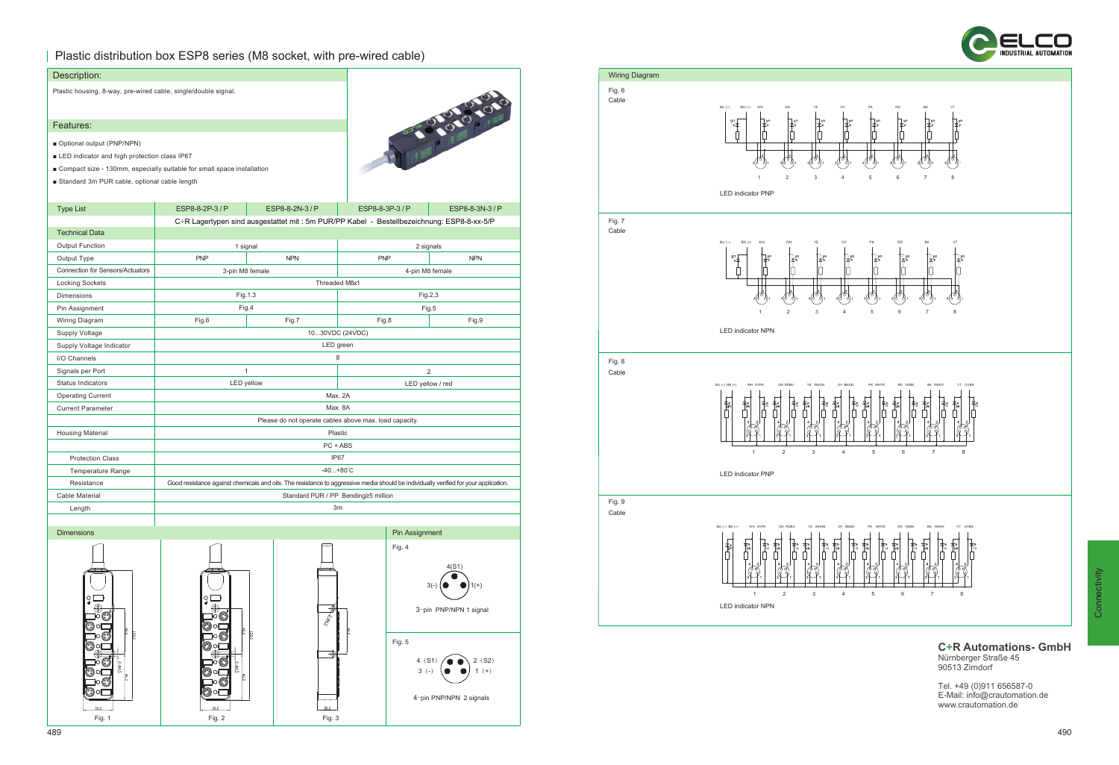## Plastic distribution box ESP8 series (M8 socket, with pre-wired cable)

| Description:                                                   |                                                                                                                                      |                                                                                            |                  |                         |  |
|----------------------------------------------------------------|--------------------------------------------------------------------------------------------------------------------------------------|--------------------------------------------------------------------------------------------|------------------|-------------------------|--|
| Plastic housing, 8-way, pre-wired cable, single/double signal. |                                                                                                                                      |                                                                                            |                  | 1919191919              |  |
| Features:                                                      |                                                                                                                                      |                                                                                            |                  |                         |  |
| Optional output (PNP/NPN)                                      |                                                                                                                                      |                                                                                            |                  |                         |  |
| LED indicator and high protection class IP67                   |                                                                                                                                      |                                                                                            |                  |                         |  |
|                                                                | ■ Compact size - 130mm, especially suitable for small space installation                                                             |                                                                                            |                  |                         |  |
| Standard 3m PUR cable, optional cable length                   |                                                                                                                                      |                                                                                            |                  |                         |  |
|                                                                |                                                                                                                                      |                                                                                            |                  |                         |  |
| <b>Type List</b>                                               | ESP8-8-2P-3/P                                                                                                                        | ESP8-8-2N-3 / P                                                                            | ESP8-8-3P-3 / P  | ESP8-8-3N-3 / P         |  |
|                                                                |                                                                                                                                      | C+R Lagertypen sind ausgestattet mit : 5m PUR/PP Kabel - Bestellbezeichnung: ESP8-8-xx-5/P |                  |                         |  |
| <b>Technical Data</b>                                          |                                                                                                                                      |                                                                                            |                  |                         |  |
| <b>Output Function</b>                                         | 1 signal                                                                                                                             |                                                                                            |                  | 2 signals               |  |
| Output Type                                                    | <b>PNP</b>                                                                                                                           | <b>NPN</b>                                                                                 | <b>PNP</b>       | <b>NPN</b>              |  |
| <b>Connection for Sensors/Actuators</b>                        | 3-pin M8 female                                                                                                                      |                                                                                            |                  | 4-pin M8 female         |  |
| <b>Locking Sockets</b>                                         |                                                                                                                                      | Threaded M8x1                                                                              |                  |                         |  |
| <b>Dimensions</b>                                              | Fig. 1,3                                                                                                                             |                                                                                            | Fig.2,3          |                         |  |
| Pin Assignment                                                 | Fig.4                                                                                                                                |                                                                                            | Fig.5            |                         |  |
| Wiring Diagram                                                 | Fig.6                                                                                                                                | Fig.7                                                                                      | Fig.8            | Fig.9                   |  |
| Supply Voltage                                                 | 1030VDC (24VDC)                                                                                                                      |                                                                                            |                  |                         |  |
| Supply Voltage Indicator                                       | LED green                                                                                                                            |                                                                                            |                  |                         |  |
| I/O Channels                                                   | 8                                                                                                                                    |                                                                                            |                  |                         |  |
| Signals per Port                                               | $\mathbf{1}$                                                                                                                         |                                                                                            |                  | $\overline{2}$          |  |
| Status Indicators                                              | <b>LED</b> yellow                                                                                                                    |                                                                                            | LED yellow / red |                         |  |
| <b>Operating Current</b>                                       |                                                                                                                                      | Max. 2A                                                                                    |                  |                         |  |
| <b>Current Parameter</b>                                       | Max. 8A                                                                                                                              |                                                                                            |                  |                         |  |
|                                                                | Please do not operate cables above max. load capacity.                                                                               |                                                                                            |                  |                         |  |
| <b>Housing Material</b>                                        |                                                                                                                                      | Plastic                                                                                    |                  |                         |  |
|                                                                |                                                                                                                                      | PC + ABS                                                                                   |                  |                         |  |
| <b>Protection Class</b>                                        | IP67                                                                                                                                 |                                                                                            |                  |                         |  |
| <b>Temperature Range</b>                                       | $-40+80^{\circ}C$                                                                                                                    |                                                                                            |                  |                         |  |
| Resistance                                                     | Good resistance against chemicals and oils. The resistance to aggressive media should be individually verified for your application. |                                                                                            |                  |                         |  |
| Cable Material                                                 |                                                                                                                                      | Standard PUR / PP Bending≥5 million                                                        |                  |                         |  |
| Length                                                         | 3m                                                                                                                                   |                                                                                            |                  |                         |  |
|                                                                |                                                                                                                                      |                                                                                            |                  |                         |  |
| <b>Dimensions</b>                                              |                                                                                                                                      |                                                                                            | Pin Assignment   |                         |  |
|                                                                |                                                                                                                                      |                                                                                            | Fig. 4           |                         |  |
|                                                                |                                                                                                                                      |                                                                                            |                  |                         |  |
|                                                                |                                                                                                                                      |                                                                                            |                  | 4(S1)                   |  |
|                                                                |                                                                                                                                      |                                                                                            |                  | $3(-)$<br>$1(+)$        |  |
| å                                                              | O                                                                                                                                    |                                                                                            |                  |                         |  |
|                                                                |                                                                                                                                      |                                                                                            |                  | 3-pin PNP/NPN 1 signal  |  |
|                                                                |                                                                                                                                      | <b>CARLO</b>                                                                               |                  |                         |  |
|                                                                | <b>SC</b>                                                                                                                            |                                                                                            |                  |                         |  |
|                                                                |                                                                                                                                      |                                                                                            | Fig. 5           |                         |  |
|                                                                |                                                                                                                                      | ⊕                                                                                          | 4(51)            | 2(S2)                   |  |
|                                                                |                                                                                                                                      |                                                                                            | $3(-)$           | $1 (+)$                 |  |
|                                                                |                                                                                                                                      |                                                                                            |                  |                         |  |
|                                                                |                                                                                                                                      |                                                                                            |                  | 4-pin PNP/NPN 2 signals |  |
| 30,0                                                           | 30,0                                                                                                                                 | 20,0                                                                                       |                  |                         |  |
| Fig. 1                                                         | Fig. 2                                                                                                                               | Fig. 3                                                                                     |                  |                         |  |





**C+R Automations- GmbH** Nürnberger Straße 45

90513 Zirndorf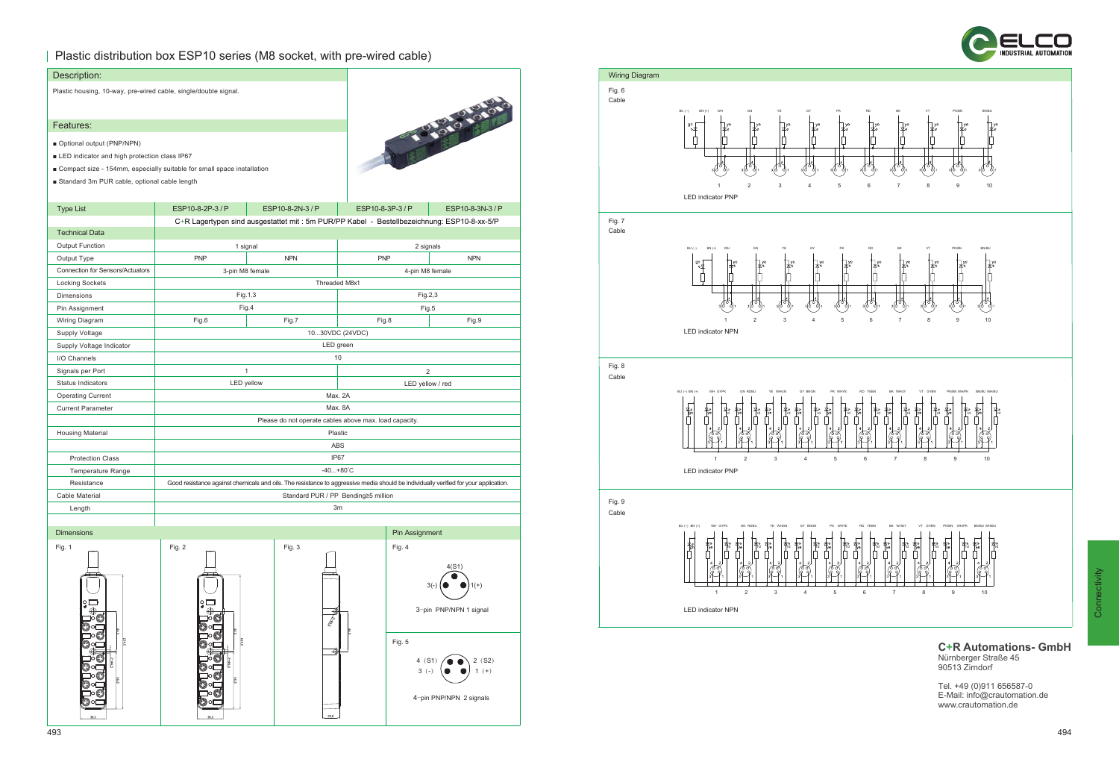## Plastic distribution box ESP10 series (M8 socket, with pre-wired cable)

| Description:                                                    |                                                                                                                                      |                      |  |                  |                         |
|-----------------------------------------------------------------|--------------------------------------------------------------------------------------------------------------------------------------|----------------------|--|------------------|-------------------------|
| Plastic housing, 10-way, pre-wired cable, single/double signal. |                                                                                                                                      |                      |  |                  |                         |
|                                                                 |                                                                                                                                      |                      |  |                  |                         |
|                                                                 |                                                                                                                                      |                      |  |                  | 1-21-21-21-01           |
| Features:                                                       |                                                                                                                                      |                      |  |                  |                         |
| Optional output (PNP/NPN)                                       |                                                                                                                                      |                      |  |                  |                         |
| LED indicator and high protection class IP67                    |                                                                                                                                      |                      |  |                  |                         |
|                                                                 | ■ Compact size - 154mm, especially suitable for small space installation                                                             |                      |  |                  |                         |
| Standard 3m PUR cable, optional cable length                    |                                                                                                                                      |                      |  |                  |                         |
| <b>Type List</b>                                                | ESP10-8-2P-3/P                                                                                                                       | ESP10-8-2N-3/P       |  | ESP10-8-3P-3/P   | ESP10-8-3N-3/P          |
|                                                                 | C+R Lagertypen sind ausgestattet mit : 5m PUR/PP Kabel - Bestellbezeichnung: ESP10-8-xx-5/P                                          |                      |  |                  |                         |
| <b>Technical Data</b>                                           |                                                                                                                                      |                      |  |                  |                         |
| <b>Output Function</b>                                          | 1 signal                                                                                                                             |                      |  | 2 signals        |                         |
| Output Type                                                     | <b>PNP</b>                                                                                                                           | <b>NPN</b>           |  | <b>PNP</b>       | <b>NPN</b>              |
| Connection for Sensors/Actuators                                | 3-pin M8 female                                                                                                                      |                      |  | 4-pin M8 female  |                         |
| <b>Locking Sockets</b>                                          |                                                                                                                                      | Threaded M8x1        |  |                  |                         |
| <b>Dimensions</b>                                               | Fig.1,3                                                                                                                              |                      |  | Fig.2,3          |                         |
| Pin Assignment                                                  | Fig.4                                                                                                                                |                      |  | Fig.5            |                         |
| Wiring Diagram                                                  | Fig.6                                                                                                                                | Fig.7                |  | Fig.8            | Fig.9                   |
| <b>Supply Voltage</b>                                           | 1030VDC (24VDC)                                                                                                                      |                      |  |                  |                         |
| Supply Voltage Indicator                                        | LED green                                                                                                                            |                      |  |                  |                         |
| I/O Channels                                                    |                                                                                                                                      | 10                   |  |                  |                         |
| Signals per Port                                                | $\mathbf{1}$                                                                                                                         |                      |  | $\overline{c}$   |                         |
| <b>Status Indicators</b>                                        | LED yellow                                                                                                                           |                      |  | LED yellow / red |                         |
| <b>Operating Current</b>                                        | Max. 2A                                                                                                                              |                      |  |                  |                         |
| <b>Current Parameter</b>                                        | Max. 8A                                                                                                                              |                      |  |                  |                         |
|                                                                 | Please do not operate cables above max. load capacity.                                                                               |                      |  |                  |                         |
| <b>Housing Material</b>                                         | Plastic                                                                                                                              |                      |  |                  |                         |
|                                                                 | ABS                                                                                                                                  |                      |  |                  |                         |
| <b>Protection Class</b>                                         | IP67                                                                                                                                 |                      |  |                  |                         |
| <b>Temperature Range</b>                                        | $-40+80^{\circ}C$                                                                                                                    |                      |  |                  |                         |
| Resistance                                                      | Good resistance against chemicals and oils. The resistance to aggressive media should be individually verified for your application. |                      |  |                  |                         |
| Cable Material                                                  | Standard PUR / PP Bending≥5 million                                                                                                  |                      |  |                  |                         |
| Length                                                          |                                                                                                                                      | 3m                   |  |                  |                         |
|                                                                 |                                                                                                                                      |                      |  |                  |                         |
| <b>Dimensions</b>                                               |                                                                                                                                      |                      |  | Pin Assignment   |                         |
| Fig. 1                                                          | Fig. 2                                                                                                                               | Fig. 3               |  | Fig. 4           |                         |
|                                                                 |                                                                                                                                      |                      |  |                  |                         |
|                                                                 |                                                                                                                                      |                      |  |                  | 4(S1)                   |
|                                                                 |                                                                                                                                      |                      |  |                  | $3(-)$<br>$1(+)$        |
| ΟL                                                              |                                                                                                                                      |                      |  |                  |                         |
|                                                                 |                                                                                                                                      | ⋬                    |  |                  | 3-pin PNP/NPN 1 signal  |
|                                                                 |                                                                                                                                      | $\frac{1}{\sqrt{2}}$ |  |                  |                         |
|                                                                 |                                                                                                                                      |                      |  |                  |                         |
|                                                                 |                                                                                                                                      | ⊕                    |  | Fig. 5           |                         |
|                                                                 |                                                                                                                                      |                      |  | 4(S1)            | 2(S2)                   |
|                                                                 |                                                                                                                                      |                      |  | $3(-)$           | $1 (+)$                 |
|                                                                 |                                                                                                                                      |                      |  |                  |                         |
|                                                                 |                                                                                                                                      |                      |  |                  | 4-pin PNP/NPN 2 signals |
| 30.0                                                            | 30.0                                                                                                                                 | 20,0                 |  |                  |                         |





**C+R Automations- GmbH** Nürnberger Straße 45 90513 Zirndorf